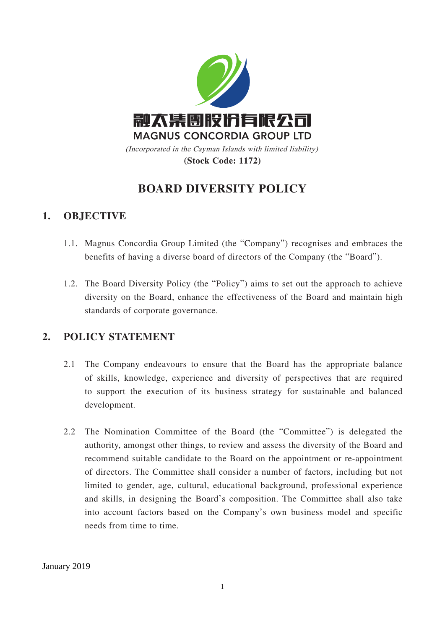

# **BOARD DIVERSITY POLICY**

## **1. OBJECTIVE**

- 1.1. Magnus Concordia Group Limited (the "Company") recognises and embraces the benefits of having a diverse board of directors of the Company (the "Board").
- 1.2. The Board Diversity Policy (the "Policy") aims to set out the approach to achieve diversity on the Board, enhance the effectiveness of the Board and maintain high standards of corporate governance.

#### **2. POLICY STATEMENT**

- 2.1 The Company endeavours to ensure that the Board has the appropriate balance of skills, knowledge, experience and diversity of perspectives that are required to support the execution of its business strategy for sustainable and balanced development.
- 2.2 The Nomination Committee of the Board (the "Committee") is delegated the authority, amongst other things, to review and assess the diversity of the Board and recommend suitable candidate to the Board on the appointment or re-appointment of directors. The Committee shall consider a number of factors, including but not limited to gender, age, cultural, educational background, professional experience and skills, in designing the Board's composition. The Committee shall also take into account factors based on the Company's own business model and specific needs from time to time.